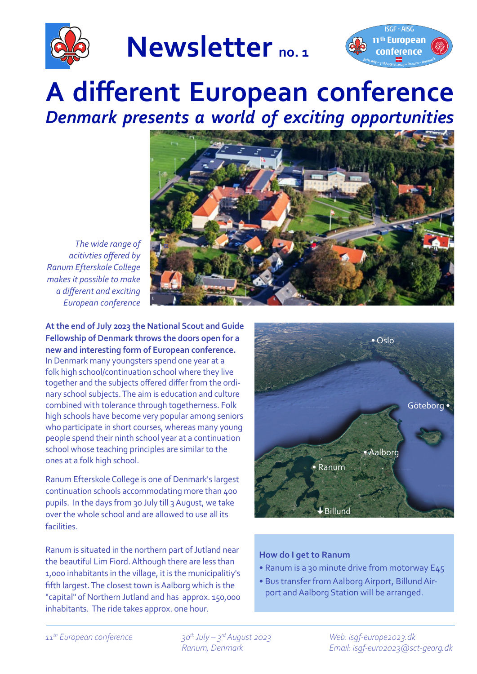

**Newsletter no. 1**



## **A different European conference** *Denmark presents a world of exciting opportunities*



*The wide range of acitivties offered by Ranum Efterskole College makes it possible to make a different and exciting European conference*

**At the end of July 2023 the National Scout and Guide Fellowship of Denmark throws the doors open for a new and interesting form of European conference.** In Denmark many youngsters spend one year at a folk high school/continuation school where they live together and the subjects offered differ from the ordinary school subjects. The aim is education and culture combined with tolerance through togetherness. Folk high schools have become very popular among seniors who participate in short courses, whereas many young people spend their ninth school year at a continuation school whose teaching principles are similar to the ones at a folk high school.

Ranum Efterskole College is one of Denmark's largest continuation schools accommodating more than 400 pupils. In the days from 30 July till 3 August, we take over the whole school and are allowed to use all its facilities.

Ranum is situated in the northern part of Jutland near the beautiful Lim Fiord. Although there are less than 1,000 inhabitants in the village, it is the municipalitiy's fifth largest. The closest town is Aalborg which is the "capital" of Northern Jutland and has approx. 150,000 inhabitants. The ride takes approx. one hour.



## **How do I get to Ranum**

- Ranum is a 30 minute drive from motorway E45
- Bus transfer from Aalborg Airport, Billund Airport and Aalborg Station will be arranged.